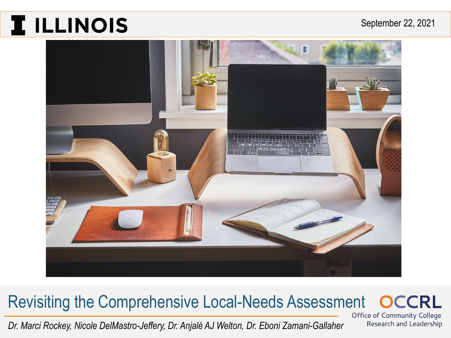# **I** ILLINOIS

#### September 22, 2021



#### Revisiting the Comprehensive Local-Needs Assessment **OCCRL OCCRL**

Research and Leadership

*Dr. Marci Rockey, Nicole DelMastro-Jeffery, Dr. Anjalé AJ Welton, Dr. Eboni Zamani-Gallaher*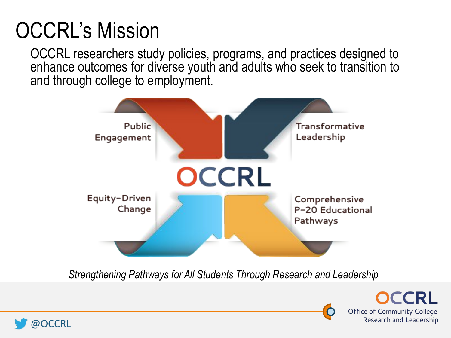# OCCRL's Mission

OCCRL researchers study policies, programs, and practices designed to enhance outcomes for diverse youth and adults who seek to transition to and through college to employment.



*Strengthening Pathways for All Students Through Research and Leadership*

**CRL** 

Office of Community College Research and Leadership

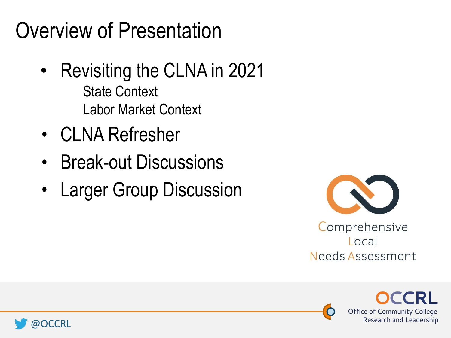## Overview of Presentation

- Revisiting the CLNA in 2021 State Context Labor Market Context
- CLNA Refresher
- Break-out Discussions
- **Larger Group Discussion**





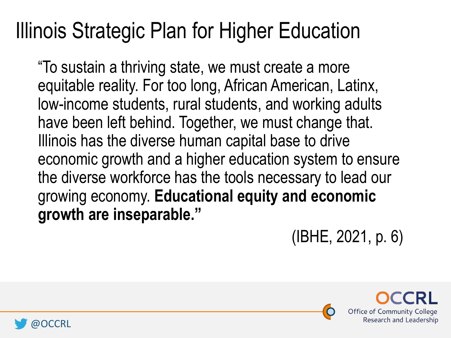## Illinois Strategic Plan for Higher Education

"To sustain a thriving state, we must create a more equitable reality. For too long, African American, Latinx, low-income students, rural students, and working adults have been left behind. Together, we must change that. Illinois has the diverse human capital base to drive economic growth and a higher education system to ensure the diverse workforce has the tools necessary to lead our growing economy. **Educational equity and economic growth are inseparable."**

(IBHE, 2021, p. 6)



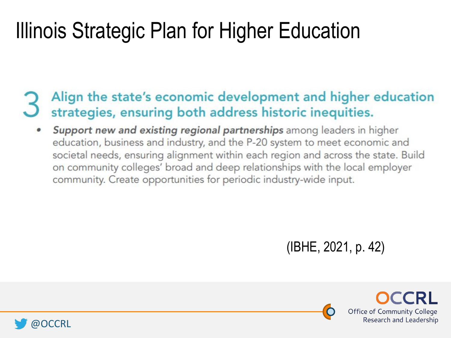## Illinois Strategic Plan for Higher Education

#### Align the state's economic development and higher education strategies, ensuring both address historic inequities.

Support new and existing regional partnerships among leaders in higher  $\bullet$ education, business and industry, and the P-20 system to meet economic and societal needs, ensuring alignment within each region and across the state. Build on community colleges' broad and deep relationships with the local employer community. Create opportunities for periodic industry-wide input.

### (IBHE, 2021, p. 42)



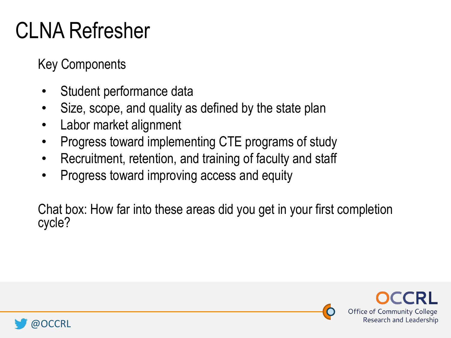# CLNA Refresher

Key Components

- Student performance data
- Size, scope, and quality as defined by the state plan
- Labor market alignment
- Progress toward implementing CTE programs of study
- Recruitment, retention, and training of faculty and staff
- Progress toward improving access and equity

Chat box: How far into these areas did you get in your first completion cycle?



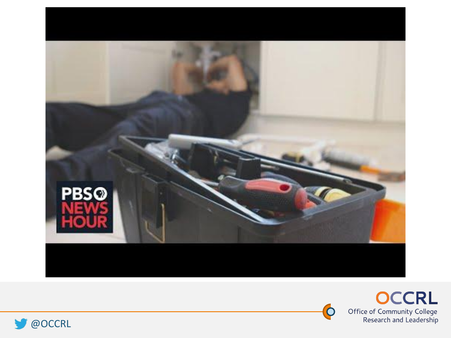



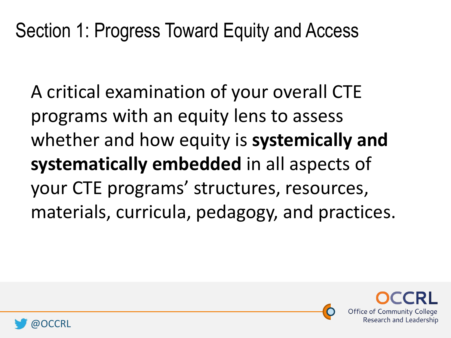## Section 1: Progress Toward Equity and Access

A critical examination of your overall CTE programs with an equity lens to assess whether and how equity is **systemically and systematically embedded** in all aspects of your CTE programs' structures, resources, materials, curricula, pedagogy, and practices.



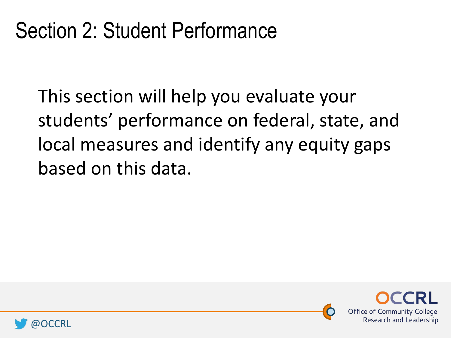## Section 2: Student Performance

This section will help you evaluate your students' performance on federal, state, and local measures and identify any equity gaps based on this data.



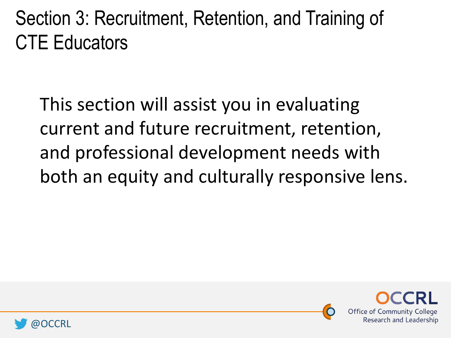## Section 3: Recruitment, Retention, and Training of CTE Educators

This section will assist you in evaluating current and future recruitment, retention, and professional development needs with both an equity and culturally responsive lens.



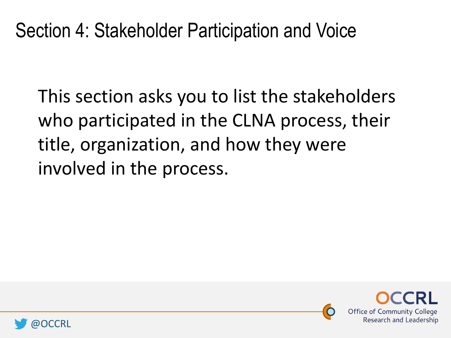### Section 4: Stakeholder Participation and Voice

This section asks you to list the stakeholders who participated in the CLNA process, their title, organization, and how they were involved in the process.



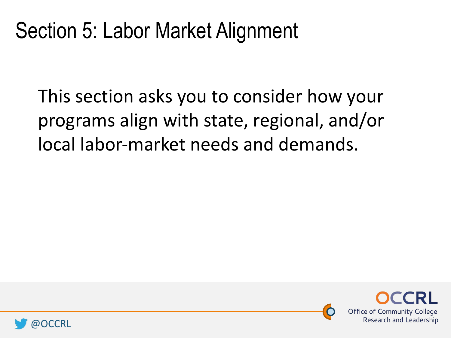## Section 5: Labor Market Alignment

This section asks you to consider how your programs align with state, regional, and/or local labor-market needs and demands.



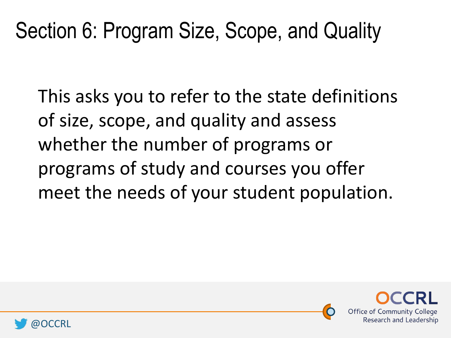## Section 6: Program Size, Scope, and Quality

This asks you to refer to the state definitions of size, scope, and quality and assess whether the number of programs or programs of study and courses you offer meet the needs of your student population.



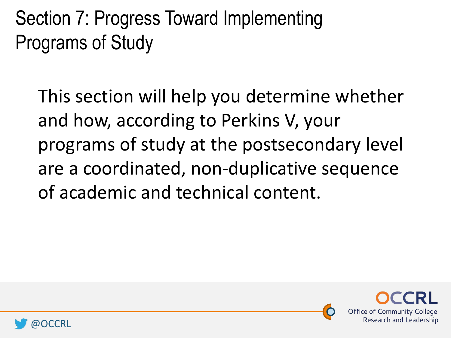## Section 7: Progress Toward Implementing Programs of Study

This section will help you determine whether and how, according to Perkins V, your programs of study at the postsecondary level are a coordinated, non-duplicative sequence of academic and technical content.



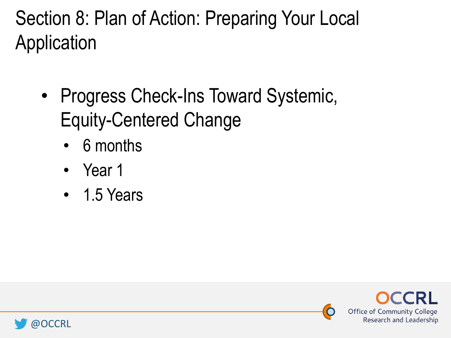Section 8: Plan of Action: Preparing Your Local Application

- Progress Check-Ins Toward Systemic, Equity-Centered Change
	- 6 months
	- Year 1
	- 1.5 Years



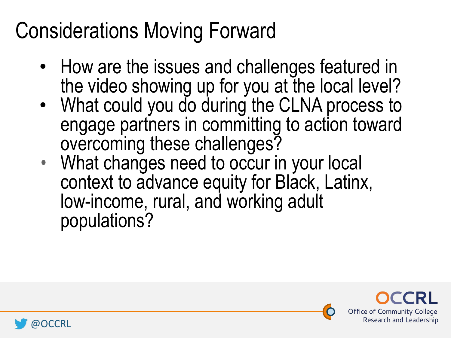# Considerations Moving Forward

- How are the issues and challenges featured in the video showing up for you at the local level?
- What could you do during the CLNA process to engage partners in committing to action toward overcoming these challenges?
- What changes need to occur in your local context to advance equity for Black, Latinx, low-income, rural, and working adult populations?



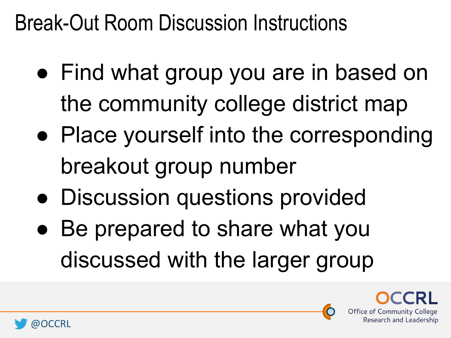Break-Out Room Discussion Instructions

- Find what group you are in based on the community college district map
- Place yourself into the corresponding breakout group number

Office of Community College Research and Leadership

- Discussion questions provided
- Be prepared to share what you discussed with the larger group

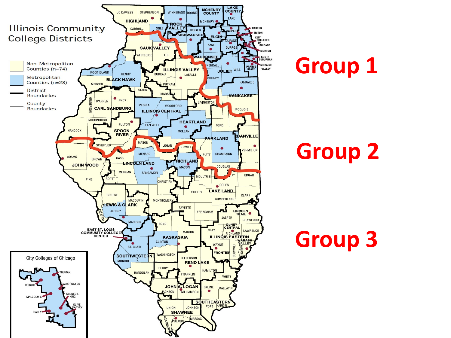

## **Group 1**

## **Group 2**

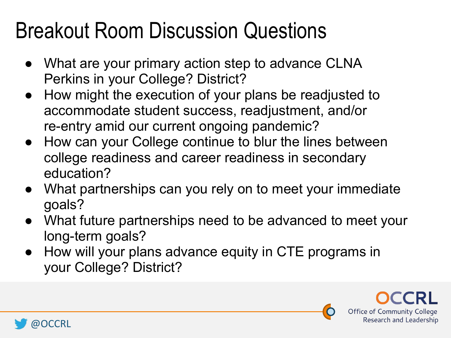## Breakout Room Discussion Questions

- What are your primary action step to advance CLNA Perkins in your College? District?
- How might the execution of your plans be readjusted to accommodate student success, readjustment, and/or re-entry amid our current ongoing pandemic?
- How can your College continue to blur the lines between college readiness and career readiness in secondary education?
- What partnerships can you rely on to meet your immediate goals?
- What future partnerships need to be advanced to meet your long-term goals?
- How will your plans advance equity in CTE programs in your College? District?



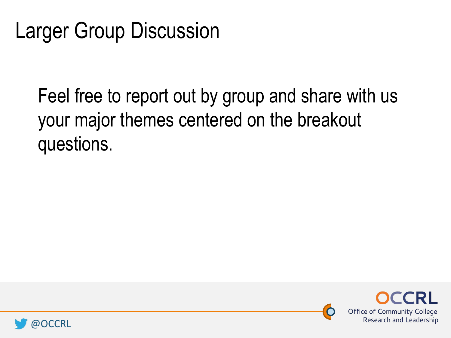## Larger Group Discussion

Feel free to report out by group and share with us your major themes centered on the breakout questions.



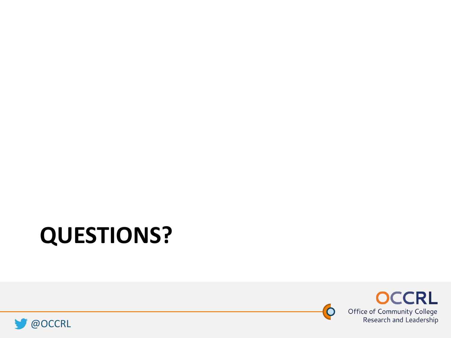# **QUESTIONS?**



 $\Gamma$